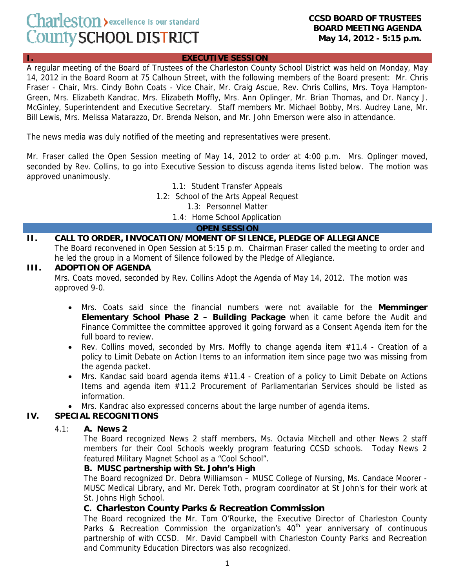# Charleston > excellence is our standard County SCHOOL DISTRICT

#### **CCSD BOARD OF TRUSTEES BOARD MEETING AGENDA May 14, 2012 - 5:15 p.m.**

#### **I. EXECUTIVE SESSION**

A regular meeting of the Board of Trustees of the Charleston County School District was held on Monday, May 14, 2012 in the Board Room at 75 Calhoun Street, with the following members of the Board present: Mr. Chris Fraser - Chair, Mrs. Cindy Bohn Coats - Vice Chair, Mr. Craig Ascue, Rev. Chris Collins, Mrs. Toya Hampton-Green, Mrs. Elizabeth Kandrac, Mrs. Elizabeth Moffly, Mrs. Ann Oplinger, Mr. Brian Thomas, and Dr. Nancy J. McGinley, Superintendent and Executive Secretary. Staff members Mr. Michael Bobby, Mrs. Audrey Lane, Mr. Bill Lewis, Mrs. Melissa Matarazzo, Dr. Brenda Nelson, and Mr. John Emerson were also in attendance.

The news media was duly notified of the meeting and representatives were present.

Mr. Fraser called the Open Session meeting of May 14, 2012 to order at 4:00 p.m. Mrs. Oplinger moved, seconded by Rev. Collins, to go into Executive Session to discuss agenda items listed below. The motion was approved unanimously.

1.1: Student Transfer Appeals

1.2: School of the Arts Appeal Request

1.3: Personnel Matter

1.4: Home School Application

#### **OPEN SESSION**

# **II. CALL TO ORDER, INVOCATION/MOMENT OF SILENCE, PLEDGE OF ALLEGIANCE**

The Board reconvened in Open Session at 5:15 p.m. Chairman Fraser called the meeting to order and he led the group in a Moment of Silence followed by the Pledge of Allegiance.

#### **III. ADOPTION OF AGENDA**

Mrs. Coats moved, seconded by Rev. Collins Adopt the Agenda of May 14, 2012. The motion was approved 9-0.

- Mrs. Coats said since the financial numbers were not available for the **Memminger Elementary School Phase 2 – Building Package** when it came before the Audit and Finance Committee the committee approved it going forward as a Consent Agenda item for the full board to review.
- Rev. Collins moved, seconded by Mrs. Moffly to change agenda item #11.4 Creation of a policy to Limit Debate on Action Items to an information item since page two was missing from the agenda packet.
- Mrs. Kandac said board agenda items #11.4 Creation of a policy to Limit Debate on Actions Items and agenda item #11.2 Procurement of Parliamentarian Services should be listed as information.
- Mrs. Kandrac also expressed concerns about the large number of agenda items.

#### **IV. SPECIAL RECOGNITIONS**

#### 4.1: **A. News 2**

The Board recognized News 2 staff members, Ms. Octavia Mitchell and other News 2 staff members for their Cool Schools weekly program featuring CCSD schools. Today News 2 featured Military Magnet School as a "Cool School".

#### **B. MUSC partnership with St. John's High**

The Board recognized Dr. Debra Williamson – MUSC College of Nursing, Ms. Candace Moorer - MUSC Medical Library, and Mr. Derek Toth, program coordinator at St John's for their work at St. Johns High School.

#### **C. Charleston County Parks & Recreation Commission**

The Board recognized the Mr. Tom O'Rourke, the Executive Director of Charleston County Parks & Recreation Commission the organization's  $40<sup>th</sup>$  year anniversary of continuous partnership of with CCSD. Mr. David Campbell with Charleston County Parks and Recreation and Community Education Directors was also recognized.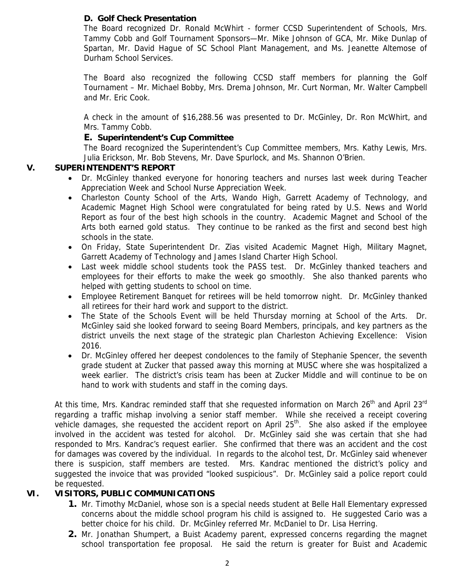# **D. Golf Check Presentation**

The Board recognized Dr. Ronald McWhirt - former CCSD Superintendent of Schools, Mrs. Tammy Cobb and Golf Tournament Sponsors—Mr. Mike Johnson of GCA, Mr. Mike Dunlap of Spartan, Mr. David Hague of SC School Plant Management, and Ms. Jeanette Altemose of Durham School Services.

The Board also recognized the following CCSD staff members for planning the Golf Tournament – Mr. Michael Bobby, Mrs. Drema Johnson, Mr. Curt Norman, Mr. Walter Campbell and Mr. Eric Cook.

A check in the amount of \$16,288.56 was presented to Dr. McGinley, Dr. Ron McWhirt, and Mrs. Tammy Cobb.

# **E. Superintendent's Cup Committee**

The Board recognized the Superintendent's Cup Committee members, Mrs. Kathy Lewis, Mrs. Julia Erickson, Mr. Bob Stevens, Mr. Dave Spurlock, and Ms. Shannon O'Brien.

# **V. SUPERINTENDENT'S REPORT**

- Dr. McGinley thanked everyone for honoring teachers and nurses last week during Teacher Appreciation Week and School Nurse Appreciation Week.
- Charleston County School of the Arts, Wando High, Garrett Academy of Technology, and Academic Magnet High School were congratulated for being rated by U.S. News and World Report as four of the best high schools in the country. Academic Magnet and School of the Arts both earned gold status. They continue to be ranked as the first and second best high schools in the state.
- On Friday, State Superintendent Dr. Zias visited Academic Magnet High, Military Magnet, Garrett Academy of Technology and James Island Charter High School.
- Last week middle school students took the PASS test. Dr. McGinley thanked teachers and employees for their efforts to make the week go smoothly. She also thanked parents who helped with getting students to school on time.
- Employee Retirement Banquet for retirees will be held tomorrow night. Dr. McGinley thanked all retirees for their hard work and support to the district.
- The State of the Schools Event will be held Thursday morning at School of the Arts. Dr. McGinley said she looked forward to seeing Board Members, principals, and key partners as the district unveils the next stage of the strategic plan Charleston Achieving Excellence: Vision 2016.
- Dr. McGinley offered her deepest condolences to the family of Stephanie Spencer, the seventh grade student at Zucker that passed away this morning at MUSC where she was hospitalized a week earlier. The district's crisis team has been at Zucker Middle and will continue to be on hand to work with students and staff in the coming days.

At this time, Mrs. Kandrac reminded staff that she requested information on March  $26<sup>th</sup>$  and April 23<sup>rd</sup> regarding a traffic mishap involving a senior staff member. While she received a receipt covering vehicle damages, she requested the accident report on April  $25<sup>th</sup>$ . She also asked if the employee involved in the accident was tested for alcohol. Dr. McGinley said she was certain that she had responded to Mrs. Kandrac's request earlier. She confirmed that there was an accident and the cost for damages was covered by the individual. In regards to the alcohol test, Dr. McGinley said whenever there is suspicion, staff members are tested. Mrs. Kandrac mentioned the district's policy and suggested the invoice that was provided "looked suspicious". Dr. McGinley said a police report could be requested.

# **VI. VISITORS, PUBLIC COMMUNICATIONS**

- **1.** Mr. Timothy McDaniel, whose son is a special needs student at Belle Hall Elementary expressed concerns about the middle school program his child is assigned to. He suggested Cario was a better choice for his child. Dr. McGinley referred Mr. McDaniel to Dr. Lisa Herring.
- **2.** Mr. Jonathan Shumpert, a Buist Academy parent, expressed concerns regarding the magnet school transportation fee proposal. He said the return is greater for Buist and Academic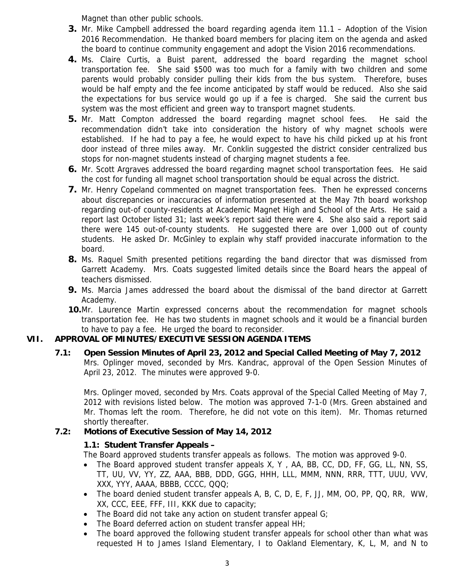Magnet than other public schools.

- **3.** Mr. Mike Campbell addressed the board regarding agenda item 11.1 Adoption of the Vision 2016 Recommendation. He thanked board members for placing item on the agenda and asked the board to continue community engagement and adopt the Vision 2016 recommendations.
- **4.** Ms. Claire Curtis, a Buist parent, addressed the board regarding the magnet school transportation fee. She said \$500 was too much for a family with two children and some parents would probably consider pulling their kids from the bus system. Therefore, buses would be half empty and the fee income anticipated by staff would be reduced. Also she said the expectations for bus service would go up if a fee is charged. She said the current bus system was the most efficient and green way to transport magnet students.
- **5.** Mr. Matt Compton addressed the board regarding magnet school fees. He said the recommendation didn't take into consideration the history of why magnet schools were established. If he had to pay a fee, he would expect to have his child picked up at his front door instead of three miles away. Mr. Conklin suggested the district consider centralized bus stops for non-magnet students instead of charging magnet students a fee.
- **6.** Mr. Scott Argraves addressed the board regarding magnet school transportation fees. He said the cost for funding all magnet school transportation should be equal across the district.
- **7.** Mr. Henry Copeland commented on magnet transportation fees. Then he expressed concerns about discrepancies or inaccuracies of information presented at the May 7th board workshop regarding out-of county-residents at Academic Magnet High and School of the Arts. He said a report last October listed 31; last week's report said there were 4. She also said a report said there were 145 out-of-county students. He suggested there are over 1,000 out of county students. He asked Dr. McGinley to explain why staff provided inaccurate information to the board.
- **8.** Ms. Raquel Smith presented petitions regarding the band director that was dismissed from Garrett Academy. Mrs. Coats suggested limited details since the Board hears the appeal of teachers dismissed.
- **9.** Ms. Marcia James addressed the board about the dismissal of the band director at Garrett Academy.
- **10.**Mr. Laurence Martin expressed concerns about the recommendation for magnet schools transportation fee. He has two students in magnet schools and it would be a financial burden to have to pay a fee. He urged the board to reconsider.

# **VII. APPROVAL OF MINUTES/EXECUTIVE SESSION AGENDA ITEMS**

 **7.1: Open Session Minutes of April 23, 2012 and Special Called Meeting of May 7, 2012**  Mrs. Oplinger moved, seconded by Mrs. Kandrac, approval of the Open Session Minutes of April 23, 2012. The minutes were approved 9-0.

Mrs. Oplinger moved, seconded by Mrs. Coats approval of the Special Called Meeting of May 7, 2012 with revisions listed below. The motion was approved 7-1-0 (Mrs. Green abstained and Mr. Thomas left the room. Therefore, he did not vote on this item). Mr. Thomas returned shortly thereafter.

# **7.2: Motions of Executive Session of May 14, 2012**

# **1.1: Student Transfer Appeals –**

The Board approved students transfer appeals as follows. The motion was approved 9-0.

- The Board approved student transfer appeals X, Y, AA, BB, CC, DD, FF, GG, LL, NN, SS, TT, UU, VV, YY, ZZ, AAA, BBB, DDD, GGG, HHH, LLL, MMM, NNN, RRR, TTT, UUU, VVV, XXX, YYY, AAAA, BBBB, CCCC, QQQ;
- The board denied student transfer appeals A, B, C, D, E, F, JJ, MM, OO, PP, QQ, RR, WW, XX, CCC, EEE, FFF, III, KKK due to capacity;
- The Board did not take any action on student transfer appeal G;
- The Board deferred action on student transfer appeal HH;
- The board approved the following student transfer appeals for school other than what was requested H to James Island Elementary, I to Oakland Elementary, K, L, M, and N to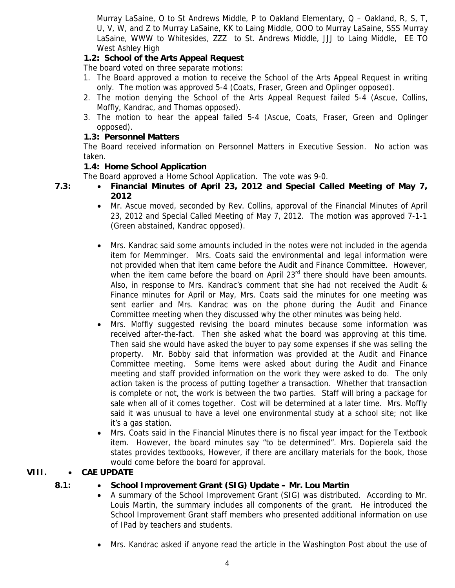Murray LaSaine, O to St Andrews Middle, P to Oakland Elementary, Q – Oakland, R, S, T, U, V, W, and Z to Murray LaSaine, KK to Laing Middle, OOO to Murray LaSaine, SSS Murray LaSaine, WWW to Whitesides, ZZZ to St. Andrews Middle, JJJ to Laing Middle, EE TO West Ashley High

# **1.2: School of the Arts Appeal Request**

The board voted on three separate motions:

- 1. The Board approved a motion to receive the School of the Arts Appeal Request in writing only. The motion was approved 5-4 (Coats, Fraser, Green and Oplinger opposed).
- 2. The motion denying the School of the Arts Appeal Request failed 5-4 (Ascue, Collins, Moffly, Kandrac, and Thomas opposed).
- 3. The motion to hear the appeal failed 5-4 (Ascue, Coats, Fraser, Green and Oplinger opposed).

# **1.3: Personnel Matters**

The Board received information on Personnel Matters in Executive Session. No action was taken.

# **1.4: Home School Application**

The Board approved a Home School Application. The vote was 9-0.

- **7.3: Financial Minutes of April 23, 2012 and Special Called Meeting of May 7, 2012** 
	- Mr. Ascue moved, seconded by Rev. Collins, approval of the Financial Minutes of April 23, 2012 and Special Called Meeting of May 7, 2012. The motion was approved 7-1-1 (Green abstained, Kandrac opposed).
	- Mrs. Kandrac said some amounts included in the notes were not included in the agenda item for Memminger. Mrs. Coats said the environmental and legal information were not provided when that item came before the Audit and Finance Committee. However, when the item came before the board on April  $23<sup>rd</sup>$  there should have been amounts. Also, in response to Mrs. Kandrac's comment that she had not received the Audit & Finance minutes for April or May, Mrs. Coats said the minutes for one meeting was sent earlier and Mrs. Kandrac was on the phone during the Audit and Finance Committee meeting when they discussed why the other minutes was being held.
	- Mrs. Moffly suggested revising the board minutes because some information was received after-the-fact. Then she asked what the board was approving at this time. Then said she would have asked the buyer to pay some expenses if she was selling the property. Mr. Bobby said that information was provided at the Audit and Finance Committee meeting. Some items were asked about during the Audit and Finance meeting and staff provided information on the work they were asked to do. The only action taken is the process of putting together a transaction. Whether that transaction is complete or not, the work is between the two parties. Staff will bring a package for sale when all of it comes together. Cost will be determined at a later time. Mrs. Moffly said it was unusual to have a level one environmental study at a school site; not like it's a gas station.
	- Mrs. Coats said in the Financial Minutes there is no fiscal year impact for the Textbook item. However, the board minutes say "to be determined". Mrs. Dopierela said the states provides textbooks, However, if there are ancillary materials for the book, those would come before the board for approval.

# **VIII.** • **CAE UPDATE**

# **8.1:** • **School Improvement Grant (SIG) Update – Mr. Lou Martin**

- A summary of the School Improvement Grant (SIG) was distributed. According to Mr. Louis Martin, the summary includes all components of the grant. He introduced the School Improvement Grant staff members who presented additional information on use of IPad by teachers and students.
- Mrs. Kandrac asked if anyone read the article in the Washington Post about the use of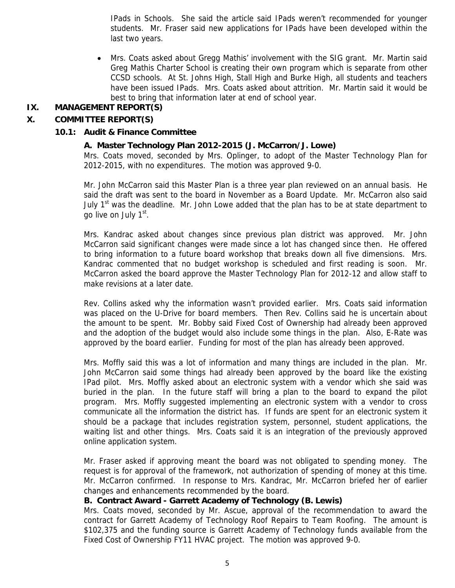IPads in Schools. She said the article said IPads weren't recommended for younger students. Mr. Fraser said new applications for IPads have been developed within the last two years.

• Mrs. Coats asked about Gregg Mathis' involvement with the SIG grant. Mr. Martin said Greg Mathis Charter School is creating their own program which is separate from other CCSD schools. At St. Johns High, Stall High and Burke High, all students and teachers have been issued IPads. Mrs. Coats asked about attrition.Mr. Martin said it would be best to bring that information later at end of school year.

# **IX. MANAGEMENT REPORT(S)**

# **X. COMMITTEE REPORT(S)**

#### **10.1: Audit & Finance Committee**

#### **A. Master Technology Plan 2012-2015 (J. McCarron/J. Lowe)**

Mrs. Coats moved, seconded by Mrs. Oplinger, to adopt of the Master Technology Plan for 2012-2015, with no expenditures. The motion was approved 9-0.

Mr. John McCarron said this Master Plan is a three year plan reviewed on an annual basis. He said the draft was sent to the board in November as a Board Update. Mr. McCarron also said July  $1<sup>st</sup>$  was the deadline. Mr. John Lowe added that the plan has to be at state department to go live on July 1<sup>st</sup>.

Mrs. Kandrac asked about changes since previous plan district was approved. Mr. John McCarron said significant changes were made since a lot has changed since then. He offered to bring information to a future board workshop that breaks down all five dimensions. Mrs. Kandrac commented that no budget workshop is scheduled and first reading is soon. Mr. McCarron asked the board approve the Master Technology Plan for 2012-12 and allow staff to make revisions at a later date.

Rev. Collins asked why the information wasn't provided earlier. Mrs. Coats said information was placed on the U-Drive for board members. Then Rev. Collins said he is uncertain about the amount to be spent. Mr. Bobby said Fixed Cost of Ownership had already been approved and the adoption of the budget would also include some things in the plan. Also, E-Rate was approved by the board earlier. Funding for most of the plan has already been approved.

Mrs. Moffly said this was a lot of information and many things are included in the plan. Mr. John McCarron said some things had already been approved by the board like the existing IPad pilot. Mrs. Moffly asked about an electronic system with a vendor which she said was buried in the plan. In the future staff will bring a plan to the board to expand the pilot program. Mrs. Moffly suggested implementing an electronic system with a vendor to cross communicate all the information the district has. If funds are spent for an electronic system it should be a package that includes registration system, personnel, student applications, the waiting list and other things. Mrs. Coats said it is an integration of the previously approved online application system.

Mr. Fraser asked if approving meant the board was not obligated to spending money. The request is for approval of the framework, not authorization of spending of money at this time. Mr. McCarron confirmed. In response to Mrs. Kandrac, Mr. McCarron briefed her of earlier changes and enhancements recommended by the board.

#### **B. Contract Award - Garrett Academy of Technology (B. Lewis)**

Mrs. Coats moved, seconded by Mr. Ascue, approval of the recommendation to award the contract for Garrett Academy of Technology Roof Repairs to Team Roofing. The amount is \$102,375 and the funding source is Garrett Academy of Technology funds available from the Fixed Cost of Ownership FY11 HVAC project. The motion was approved 9-0.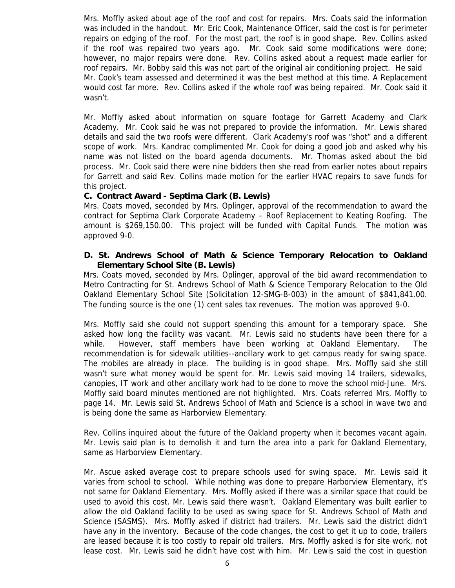Mrs. Moffly asked about age of the roof and cost for repairs. Mrs. Coats said the information was included in the handout. Mr. Eric Cook, Maintenance Officer, said the cost is for perimeter repairs on edging of the roof. For the most part, the roof is in good shape. Rev. Collins asked if the roof was repaired two years ago. Mr. Cook said some modifications were done; however, no major repairs were done. Rev. Collins asked about a request made earlier for roof repairs. Mr. Bobby said this was not part of the original air conditioning project. He said Mr. Cook's team assessed and determined it was the best method at this time. A Replacement would cost far more. Rev. Collins asked if the whole roof was being repaired. Mr. Cook said it wasn't.

Mr. Moffly asked about information on square footage for Garrett Academy and Clark Academy. Mr. Cook said he was not prepared to provide the information. Mr. Lewis shared details and said the two roofs were different. Clark Academy's roof was "shot" and a different scope of work. Mrs. Kandrac complimented Mr. Cook for doing a good job and asked why his name was not listed on the board agenda documents. Mr. Thomas asked about the bid process. Mr. Cook said there were nine bidders then she read from earlier notes about repairs for Garrett and said Rev. Collins made motion for the earlier HVAC repairs to save funds for this project.

#### **C. Contract Award - Septima Clark (B. Lewis)**

Mrs. Coats moved, seconded by Mrs. Oplinger, approval of the recommendation to award the contract for Septima Clark Corporate Academy – Roof Replacement to Keating Roofing. The amount is \$269,150.00. This project will be funded with Capital Funds. The motion was approved 9-0.

#### **D. St. Andrews School of Math & Science Temporary Relocation to Oakland Elementary School Site (B. Lewis)**

Mrs. Coats moved, seconded by Mrs. Oplinger, approval of the bid award recommendation to Metro Contracting for St. Andrews School of Math & Science Temporary Relocation to the Old Oakland Elementary School Site (Solicitation 12-SMG-B-003) in the amount of \$841,841.00. The funding source is the one (1) cent sales tax revenues. The motion was approved 9-0.

Mrs. Moffly said she could not support spending this amount for a temporary space. She asked how long the facility was vacant. Mr. Lewis said no students have been there for a while. However, staff members have been working at Oakland Elementary. The recommendation is for sidewalk utilities--ancillary work to get campus ready for swing space. The mobiles are already in place. The building is in good shape. Mrs. Moffly said she still wasn't sure what money would be spent for. Mr. Lewis said moving 14 trailers, sidewalks, canopies, IT work and other ancillary work had to be done to move the school mid-June. Mrs. Moffly said board minutes mentioned are not highlighted. Mrs. Coats referred Mrs. Moffly to page 14. Mr. Lewis said St. Andrews School of Math and Science is a school in wave two and is being done the same as Harborview Elementary.

Rev. Collins inquired about the future of the Oakland property when it becomes vacant again. Mr. Lewis said plan is to demolish it and turn the area into a park for Oakland Elementary, same as Harborview Elementary.

Mr. Ascue asked average cost to prepare schools used for swing space. Mr. Lewis said it varies from school to school. While nothing was done to prepare Harborview Elementary, it's not same for Oakland Elementary. Mrs. Moffly asked if there was a similar space that could be used to avoid this cost. Mr. Lewis said there wasn't. Oakland Elementary was built earlier to allow the old Oakland facility to be used as swing space for St. Andrews School of Math and Science (SASMS). Mrs. Moffly asked if district had trailers. Mr. Lewis said the district didn't have any in the inventory. Because of the code changes, the cost to get it up to code, trailers are leased because it is too costly to repair old trailers. Mrs. Moffly asked is for site work, not lease cost. Mr. Lewis said he didn't have cost with him. Mr. Lewis said the cost in question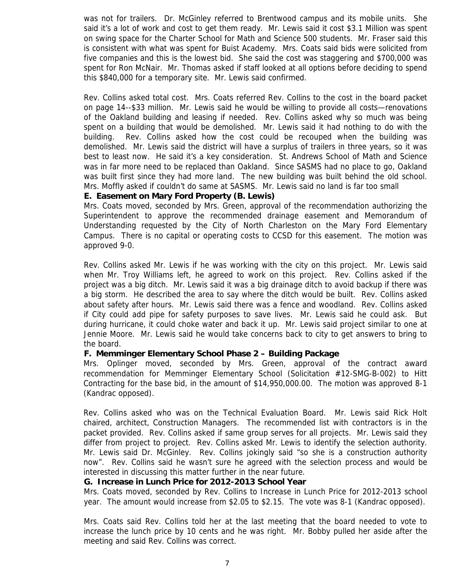was not for trailers. Dr. McGinley referred to Brentwood campus and its mobile units. She said it's a lot of work and cost to get them ready. Mr. Lewis said it cost \$3.1 Million was spent on swing space for the Charter School for Math and Science 500 students. Mr. Fraser said this is consistent with what was spent for Buist Academy. Mrs. Coats said bids were solicited from five companies and this is the lowest bid. She said the cost was staggering and \$700,000 was spent for Ron McNair. Mr. Thomas asked if staff looked at all options before deciding to spend this \$840,000 for a temporary site. Mr. Lewis said confirmed.

Rev. Collins asked total cost. Mrs. Coats referred Rev. Collins to the cost in the board packet on page 14--\$33 million. Mr. Lewis said he would be willing to provide all costs—renovations of the Oakland building and leasing if needed. Rev. Collins asked why so much was being spent on a building that would be demolished. Mr. Lewis said it had nothing to do with the building. Rev. Collins asked how the cost could be recouped when the building was demolished. Mr. Lewis said the district will have a surplus of trailers in three years, so it was best to least now. He said it's a key consideration. St. Andrews School of Math and Science was in far more need to be replaced than Oakland. Since SASMS had no place to go, Oakland was built first since they had more land. The new building was built behind the old school. Mrs. Moffly asked if couldn't do same at SASMS. Mr. Lewis said no land is far too small

#### **E. Easement on Mary Ford Property (B. Lewis)**

Mrs. Coats moved, seconded by Mrs. Green, approval of the recommendation authorizing the Superintendent to approve the recommended drainage easement and Memorandum of Understanding requested by the City of North Charleston on the Mary Ford Elementary Campus. There is no capital or operating costs to CCSD for this easement. The motion was approved 9-0.

Rev. Collins asked Mr. Lewis if he was working with the city on this project. Mr. Lewis said when Mr. Troy Williams left, he agreed to work on this project. Rev. Collins asked if the project was a big ditch. Mr. Lewis said it was a big drainage ditch to avoid backup if there was a big storm. He described the area to say where the ditch would be built. Rev. Collins asked about safety after hours. Mr. Lewis said there was a fence and woodland. Rev. Collins asked if City could add pipe for safety purposes to save lives. Mr. Lewis said he could ask. But during hurricane, it could choke water and back it up. Mr. Lewis said project similar to one at Jennie Moore. Mr. Lewis said he would take concerns back to city to get answers to bring to the board.

#### **F. Memminger Elementary School Phase 2 – Building Package**

Mrs. Oplinger moved, seconded by Mrs. Green, approval of the contract award recommendation for Memminger Elementary School (Solicitation #12-SMG-B-002) to Hitt Contracting for the base bid, in the amount of \$14,950,000.00. The motion was approved 8-1 (Kandrac opposed).

Rev. Collins asked who was on the Technical Evaluation Board. Mr. Lewis said Rick Holt chaired, architect, Construction Managers. The recommended list with contractors is in the packet provided. Rev. Collins asked if same group serves for all projects. Mr. Lewis said they differ from project to project. Rev. Collins asked Mr. Lewis to identify the selection authority. Mr. Lewis said Dr. McGinley. Rev. Collins jokingly said "so she is a construction authority now". Rev. Collins said he wasn't sure he agreed with the selection process and would be interested in discussing this matter further in the near future.

#### **G. Increase in Lunch Price for 2012-2013 School Year**

Mrs. Coats moved, seconded by Rev. Collins to Increase in Lunch Price for 2012-2013 school year. The amount would increase from \$2.05 to \$2.15. The vote was 8-1 (Kandrac opposed).

Mrs. Coats said Rev. Collins told her at the last meeting that the board needed to vote to increase the lunch price by 10 cents and he was right. Mr. Bobby pulled her aside after the meeting and said Rev. Collins was correct.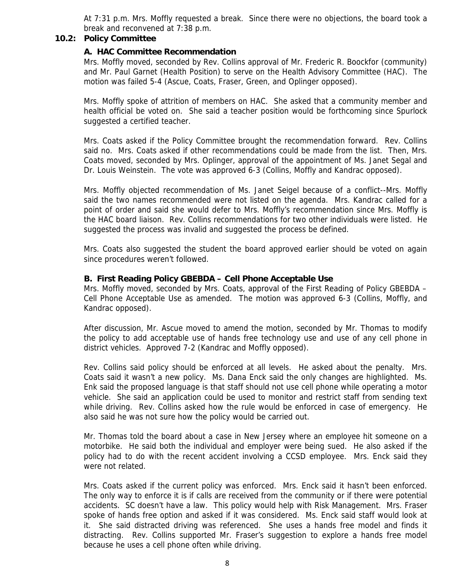At 7:31 p.m. Mrs. Moffly requested a break. Since there were no objections, the board took a break and reconvened at 7:38 p.m.

#### **10.2: Policy Committee**

#### **A. HAC Committee Recommendation**

Mrs. Moffly moved, seconded by Rev. Collins approval of Mr. Frederic R. Boockfor (community) and Mr. Paul Garnet (Health Position) to serve on the Health Advisory Committee (HAC). The motion was failed 5-4 (Ascue, Coats, Fraser, Green, and Oplinger opposed).

Mrs. Moffly spoke of attrition of members on HAC. She asked that a community member and health official be voted on. She said a teacher position would be forthcoming since Spurlock suggested a certified teacher.

Mrs. Coats asked if the Policy Committee brought the recommendation forward. Rev. Collins said no. Mrs. Coats asked if other recommendations could be made from the list. Then, Mrs. Coats moved, seconded by Mrs. Oplinger, approval of the appointment of Ms. Janet Segal and Dr. Louis Weinstein. The vote was approved 6-3 (Collins, Moffly and Kandrac opposed).

Mrs. Moffly objected recommendation of Ms. Janet Seigel because of a conflict--Mrs. Moffly said the two names recommended were not listed on the agenda. Mrs. Kandrac called for a point of order and said she would defer to Mrs. Moffly's recommendation since Mrs. Moffly is the HAC board liaison. Rev. Collins recommendations for two other individuals were listed. He suggested the process was invalid and suggested the process be defined.

Mrs. Coats also suggested the student the board approved earlier should be voted on again since procedures weren't followed.

#### **B. First Reading Policy GBEBDA – Cell Phone Acceptable Use**

Mrs. Moffly moved, seconded by Mrs. Coats, approval of the First Reading of Policy GBEBDA – Cell Phone Acceptable Use as amended. The motion was approved 6-3 (Collins, Moffly, and Kandrac opposed).

After discussion, Mr. Ascue moved to amend the motion, seconded by Mr. Thomas to modify the policy to add acceptable use of hands free technology use and use of any cell phone in district vehicles. Approved 7-2 (Kandrac and Moffly opposed).

Rev. Collins said policy should be enforced at all levels. He asked about the penalty. Mrs. Coats said it wasn't a new policy. Ms. Dana Enck said the only changes are highlighted. Ms. Enk said the proposed language is that staff should not use cell phone while operating a motor vehicle. She said an application could be used to monitor and restrict staff from sending text while driving. Rev. Collins asked how the rule would be enforced in case of emergency. He also said he was not sure how the policy would be carried out.

Mr. Thomas told the board about a case in New Jersey where an employee hit someone on a motorbike. He said both the individual and employer were being sued. He also asked if the policy had to do with the recent accident involving a CCSD employee. Mrs. Enck said they were not related.

Mrs. Coats asked if the current policy was enforced. Mrs. Enck said it hasn't been enforced. The only way to enforce it is if calls are received from the community or if there were potential accidents. SC doesn't have a law. This policy would help with Risk Management. Mrs. Fraser spoke of hands free option and asked if it was considered. Ms. Enck said staff would look at it. She said distracted driving was referenced. She uses a hands free model and finds it distracting. Rev. Collins supported Mr. Fraser's suggestion to explore a hands free model because he uses a cell phone often while driving.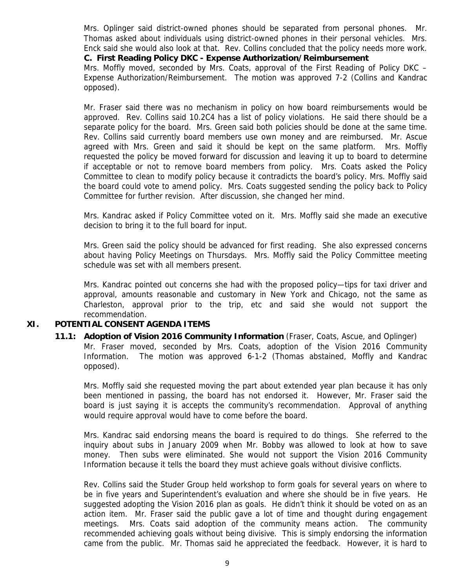Mrs. Oplinger said district-owned phones should be separated from personal phones. Mr. Thomas asked about individuals using district-owned phones in their personal vehicles. Mrs. Enck said she would also look at that. Rev. Collins concluded that the policy needs more work. **C. First Reading Policy DKC - Expense Authorization/Reimbursement** 

Mrs. Moffly moved, seconded by Mrs. Coats, approval of the First Reading of Policy DKC – Expense Authorization/Reimbursement. The motion was approved 7-2 (Collins and Kandrac opposed).

Mr. Fraser said there was no mechanism in policy on how board reimbursements would be approved. Rev. Collins said 10.2C4 has a list of policy violations. He said there should be a separate policy for the board. Mrs. Green said both policies should be done at the same time. Rev. Collins said currently board members use own money and are reimbursed. Mr. Ascue agreed with Mrs. Green and said it should be kept on the same platform. Mrs. Moffly requested the policy be moved forward for discussion and leaving it up to board to determine if acceptable or not to remove board members from policy. Mrs. Coats asked the Policy Committee to clean to modify policy because it contradicts the board's policy. Mrs. Moffly said the board could vote to amend policy. Mrs. Coats suggested sending the policy back to Policy Committee for further revision. After discussion, she changed her mind.

Mrs. Kandrac asked if Policy Committee voted on it. Mrs. Moffly said she made an executive decision to bring it to the full board for input.

Mrs. Green said the policy should be advanced for first reading. She also expressed concerns about having Policy Meetings on Thursdays. Mrs. Moffly said the Policy Committee meeting schedule was set with all members present.

Mrs. Kandrac pointed out concerns she had with the proposed policy—tips for taxi driver and approval, amounts reasonable and customary in New York and Chicago, not the same as Charleston, approval prior to the trip, etc and said she would not support the recommendation.

# **XI. POTENTIAL CONSENT AGENDA ITEMS**

 **11.1: Adoption of Vision 2016 Community Information** (Fraser, Coats, Ascue, and Oplinger) Mr. Fraser moved, seconded by Mrs. Coats, adoption of the Vision 2016 Community Information. The motion was approved 6-1-2 (Thomas abstained, Moffly and Kandrac opposed).

Mrs. Moffly said she requested moving the part about extended year plan because it has only been mentioned in passing, the board has not endorsed it. However, Mr. Fraser said the board is just saying it is accepts the community's recommendation. Approval of anything would require approval would have to come before the board.

Mrs. Kandrac said endorsing means the board is required to do things. She referred to the inquiry about subs in January 2009 when Mr. Bobby was allowed to look at how to save money. Then subs were eliminated. She would not support the Vision 2016 Community Information because it tells the board they must achieve goals without divisive conflicts.

Rev. Collins said the Studer Group held workshop to form goals for several years on where to be in five years and Superintendent's evaluation and where she should be in five years. He suggested adopting the Vision 2016 plan as goals. He didn't think it should be voted on as an action item. Mr. Fraser said the public gave a lot of time and thought during engagement meetings. Mrs. Coats said adoption of the community means action. The community recommended achieving goals without being divisive. This is simply endorsing the information came from the public. Mr. Thomas said he appreciated the feedback. However, it is hard to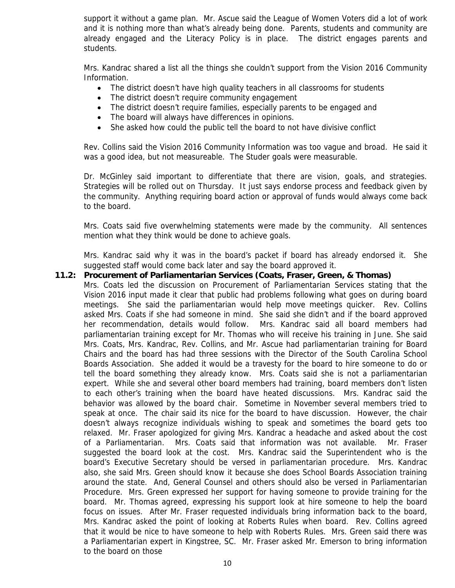support it without a game plan. Mr. Ascue said the League of Women Voters did a lot of work and it is nothing more than what's already being done. Parents, students and community are already engaged and the Literacy Policy is in place. The district engages parents and students.

Mrs. Kandrac shared a list all the things she couldn't support from the Vision 2016 Community Information.

- The district doesn't have high quality teachers in all classrooms for students
- The district doesn't require community engagement
- The district doesn't require families, especially parents to be engaged and
- The board will always have differences in opinions.
- She asked how could the public tell the board to not have divisive conflict

Rev. Collins said the Vision 2016 Community Information was too vague and broad. He said it was a good idea, but not measureable. The Studer goals were measurable.

Dr. McGinley said important to differentiate that there are vision, goals, and strategies. Strategies will be rolled out on Thursday. It just says endorse process and feedback given by the community. Anything requiring board action or approval of funds would always come back to the board.

Mrs. Coats said five overwhelming statements were made by the community. All sentences mention what they think would be done to achieve goals.

Mrs. Kandrac said why it was in the board's packet if board has already endorsed it. She suggested staff would come back later and say the board approved it.

#### **11.2: Procurement of Parliamentarian Services (Coats, Fraser, Green, & Thomas)**

Mrs. Coats led the discussion on Procurement of Parliamentarian Services stating that the Vision 2016 input made it clear that public had problems following what goes on during board meetings. She said the parliamentarian would help move meetings quicker. Rev. Collins asked Mrs. Coats if she had someone in mind. She said she didn't and if the board approved her recommendation, details would follow. Mrs. Kandrac said all board members had parliamentarian training except for Mr. Thomas who will receive his training in June. She said Mrs. Coats, Mrs. Kandrac, Rev. Collins, and Mr. Ascue had parliamentarian training for Board Chairs and the board has had three sessions with the Director of the South Carolina School Boards Association. She added it would be a travesty for the board to hire someone to do or tell the board something they already know. Mrs. Coats said she is not a parliamentarian expert. While she and several other board members had training, board members don't listen to each other's training when the board have heated discussions. Mrs. Kandrac said the behavior was allowed by the board chair. Sometime in November several members tried to speak at once. The chair said its nice for the board to have discussion. However, the chair doesn't always recognize individuals wishing to speak and sometimes the board gets too relaxed. Mr. Fraser apologized for giving Mrs. Kandrac a headache and asked about the cost of a Parliamentarian. Mrs. Coats said that information was not available. Mr. Fraser suggested the board look at the cost. Mrs. Kandrac said the Superintendent who is the board's Executive Secretary should be versed in parliamentarian procedure. Mrs. Kandrac also, she said Mrs. Green should know it because she does School Boards Association training around the state. And, General Counsel and others should also be versed in Parliamentarian Procedure. Mrs. Green expressed her support for having someone to provide training for the board. Mr. Thomas agreed, expressing his support look at hire someone to help the board focus on issues. After Mr. Fraser requested individuals bring information back to the board, Mrs. Kandrac asked the point of looking at Roberts Rules when board. Rev. Collins agreed that it would be nice to have someone to help with Roberts Rules. Mrs. Green said there was a Parliamentarian expert in Kingstree, SC. Mr. Fraser asked Mr. Emerson to bring information to the board on those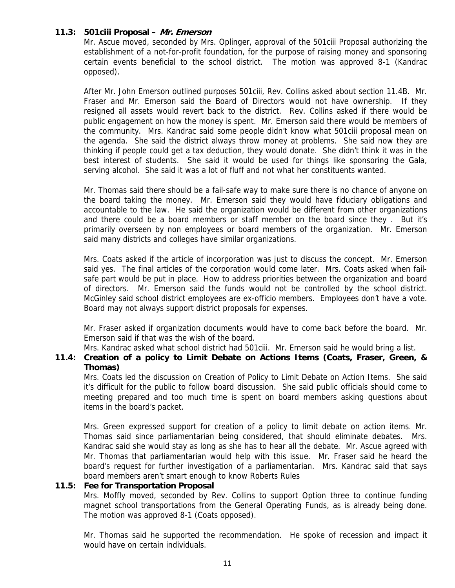# **11.3: 501ciii Proposal – Mr. Emerson**

Mr. Ascue moved, seconded by Mrs. Oplinger, approval of the 501ciii Proposal authorizing the establishment of a not-for-profit foundation, for the purpose of raising money and sponsoring certain events beneficial to the school district. The motion was approved 8-1 (Kandrac opposed).

After Mr. John Emerson outlined purposes 501ciii, Rev. Collins asked about section 11.4B. Mr. Fraser and Mr. Emerson said the Board of Directors would not have ownership. If they resigned all assets would revert back to the district. Rev. Collins asked if there would be public engagement on how the money is spent. Mr. Emerson said there would be members of the community. Mrs. Kandrac said some people didn't know what 501ciii proposal mean on the agenda. She said the district always throw money at problems. She said now they are thinking if people could get a tax deduction, they would donate. She didn't think it was in the best interest of students. She said it would be used for things like sponsoring the Gala, serving alcohol. She said it was a lot of fluff and not what her constituents wanted.

Mr. Thomas said there should be a fail-safe way to make sure there is no chance of anyone on the board taking the money. Mr. Emerson said they would have fiduciary obligations and accountable to the law. He said the organization would be different from other organizations and there could be a board members or staff member on the board since they . But it's primarily overseen by non employees or board members of the organization. Mr. Emerson said many districts and colleges have similar organizations.

Mrs. Coats asked if the article of incorporation was just to discuss the concept. Mr. Emerson said yes. The final articles of the corporation would come later. Mrs. Coats asked when failsafe part would be put in place. How to address priorities between the organization and board of directors. Mr. Emerson said the funds would not be controlled by the school district. McGinley said school district employees are ex-officio members. Employees don't have a vote. Board may not always support district proposals for expenses.

Mr. Fraser asked if organization documents would have to come back before the board. Mr. Emerson said if that was the wish of the board.

Mrs. Kandrac asked what school district had 501ciii. Mr. Emerson said he would bring a list.

# **11.4: Creation of a policy to Limit Debate on Actions Items (Coats, Fraser, Green, & Thomas)**

Mrs. Coats led the discussion on Creation of Policy to Limit Debate on Action Items. She said it's difficult for the public to follow board discussion. She said public officials should come to meeting prepared and too much time is spent on board members asking questions about items in the board's packet.

Mrs. Green expressed support for creation of a policy to limit debate on action items. Mr. Thomas said since parliamentarian being considered, that should eliminate debates. Mrs. Kandrac said she would stay as long as she has to hear all the debate. Mr. Ascue agreed with Mr. Thomas that parliamentarian would help with this issue. Mr. Fraser said he heard the board's request for further investigation of a parliamentarian. Mrs. Kandrac said that says board members aren't smart enough to know Roberts Rules

#### **11.5: Fee for Transportation Proposal**

Mrs. Moffly moved, seconded by Rev. Collins to support Option three to continue funding magnet school transportations from the General Operating Funds, as is already being done. The motion was approved 8-1 (Coats opposed).

Mr. Thomas said he supported the recommendation. He spoke of recession and impact it would have on certain individuals.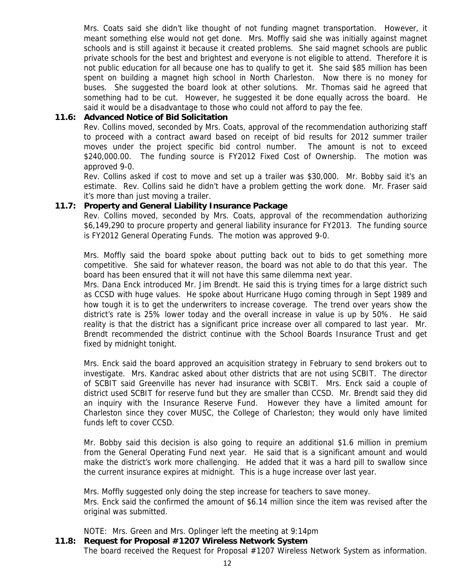Mrs. Coats said she didn't like thought of not funding magnet transportation. However, it meant something else would not get done. Mrs. Moffly said she was initially against magnet schools and is still against it because it created problems. She said magnet schools are public private schools for the best and brightest and everyone is not eligible to attend. Therefore it is not public education for all because one has to qualify to get it. She said \$85 million has been spent on building a magnet high school in North Charleston. Now there is no money for buses. She suggested the board look at other solutions. Mr. Thomas said he agreed that something had to be cut. However, he suggested it be done equally across the board. He said it would be a disadvantage to those who could not afford to pay the fee.

#### **11.6: Advanced Notice of Bid Solicitation**

Rev. Collins moved, seconded by Mrs. Coats, approval of the recommendation authorizing staff to proceed with a contract award based on receipt of bid results for 2012 summer trailer moves under the project specific bid control number. The amount is not to exceed \$240,000.00. The funding source is FY2012 Fixed Cost of Ownership. The motion was approved 9-0.

Rev. Collins asked if cost to move and set up a trailer was \$30,000. Mr. Bobby said it's an estimate. Rev. Collins said he didn't have a problem getting the work done. Mr. Fraser said it's more than just moving a trailer.

#### **11.7: Property and General Liability Insurance Package**

Rev. Collins moved, seconded by Mrs. Coats, approval of the recommendation authorizing \$6,149,290 to procure property and general liability insurance for FY2013. The funding source is FY2012 General Operating Funds. The motion was approved 9-0.

Mrs. Moffly said the board spoke about putting back out to bids to get something more competitive. She said for whatever reason, the board was not able to do that this year. The board has been ensured that it will not have this same dilemma next year.

Mrs. Dana Enck introduced Mr. Jim Brendt. He said this is trying times for a large district such as CCSD with huge values. He spoke about Hurricane Hugo coming through in Sept 1989 and how tough it is to get the underwriters to increase coverage. The trend over years show the district's rate is 25% lower today and the overall increase in value is up by 50%. He said reality is that the district has a significant price increase over all compared to last year. Mr. Brendt recommended the district continue with the School Boards Insurance Trust and get fixed by midnight tonight.

Mrs. Enck said the board approved an acquisition strategy in February to send brokers out to investigate. Mrs. Kandrac asked about other districts that are not using SCBIT. The director of SCBIT said Greenville has never had insurance with SCBIT. Mrs. Enck said a couple of district used SCBIT for reserve fund but they are smaller than CCSD. Mr. Brendt said they did an inquiry with the Insurance Reserve Fund. However they have a limited amount for Charleston since they cover MUSC, the College of Charleston; they would only have limited funds left to cover CCSD.

Mr. Bobby said this decision is also going to require an additional \$1.6 million in premium from the General Operating Fund next year. He said that is a significant amount and would make the district's work more challenging. He added that it was a hard pill to swallow since the current insurance expires at midnight. This is a huge increase over last year.

Mrs. Moffly suggested only doing the step increase for teachers to save money. Mrs. Enck said the confirmed the amount of \$6.14 million since the item was revised after the original was submitted.

NOTE: Mrs. Green and Mrs. Oplinger left the meeting at 9:14pm

# **11.8: Request for Proposal #1207 Wireless Network System**

The board received the Request for Proposal #1207 Wireless Network System as information.